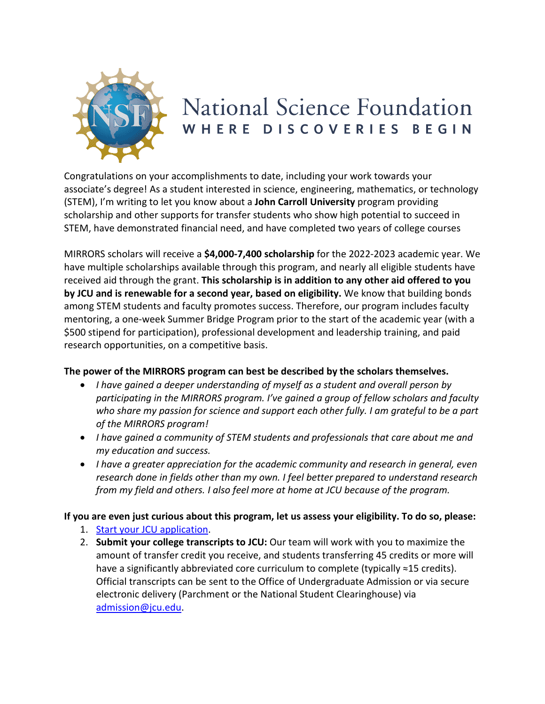

## National Science Foundation WHERE DISCOVERIES BEGIN

Congratulations on your accomplishments to date, including your work towards your associate's degree! As a student interested in science, engineering, mathematics, or technology (STEM), I'm writing to let you know about a **John Carroll University** program providing scholarship and other supports for transfer students who show high potential to succeed in STEM, have demonstrated financial need, and have completed two years of college courses

MIRRORS scholars will receive a **\$4,000-7,400 scholarship** for the 2022-2023 academic year. We have multiple scholarships available through this program, and nearly all eligible students have received aid through the grant. **This scholarship is in addition to any other aid offered to you by JCU and is renewable for a second year, based on eligibility.** We know that building bonds among STEM students and faculty promotes success. Therefore, our program includes faculty mentoring, a one-week Summer Bridge Program prior to the start of the academic year (with a \$500 stipend for participation), professional development and leadership training, and paid research opportunities, on a competitive basis.

## **The power of the MIRRORS program can best be described by the scholars themselves.**

- *I have gained a deeper understanding of myself as a student and overall person by participating in the MIRRORS program. I've gained a group of fellow scholars and faculty who share my passion for science and support each other fully. I am grateful to be a part of the MIRRORS program!*
- *I have gained a community of STEM students and professionals that care about me and my education and success.*
- *I have a greater appreciation for the academic community and research in general, even research done in fields other than my own. I feel better prepared to understand research from my field and others. I also feel more at home at JCU because of the program.*

## **If you are even just curious about this program, let us assess your eligibility. To do so, please:**

- 1. [Start your JCU application.](https://jcu.edu/admission/transfer-admission-and-readmission)
- 2. **Submit your college transcripts to JCU:** Our team will work with you to maximize the amount of transfer credit you receive, and students transferring 45 credits or more will have a significantly abbreviated core curriculum to complete (typically ≈15 credits). Official transcripts can be sent to the Office of Undergraduate Admission or via secure electronic delivery (Parchment or the National Student Clearinghouse) via admission@jcu.edu.